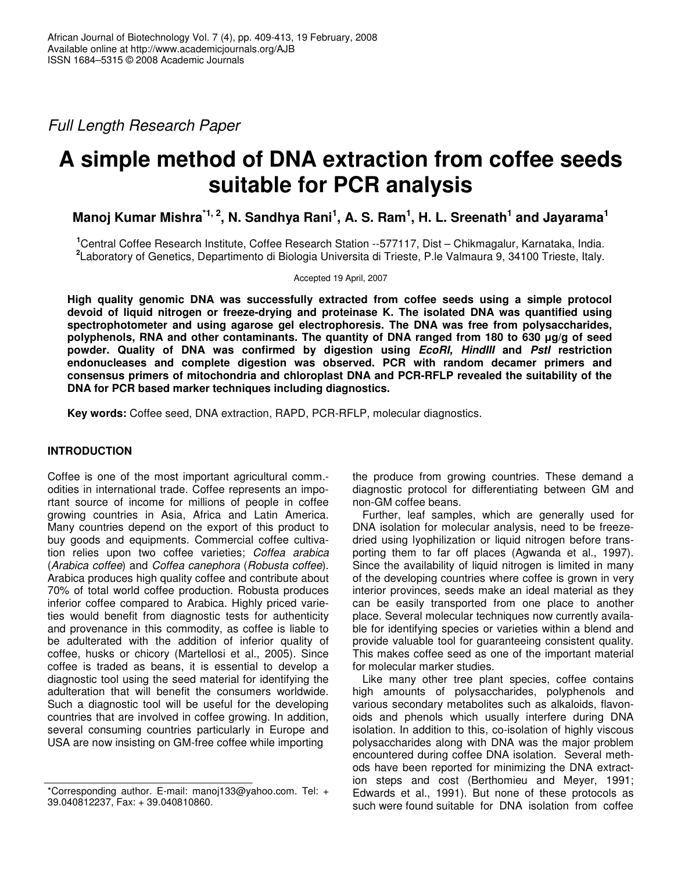*Full Length Research Paper*

# **A simple method of DNA extraction from coffee seeds suitable for PCR analysis**

Manoj Kumar Mishra<sup>\*1, 2</sup>, N. Sandhya Rani<sup>1</sup>, A. S. Ram<sup>1</sup>, H. L. Sreenath<sup>1</sup> and Jayarama<sup>1</sup>

**<sup>1</sup>**Central Coffee Research Institute, Coffee Research Station --577117, Dist – Chikmagalur, Karnataka, India. **2** Laboratory of Genetics, Departimento di Biologia Universita di Trieste, P.le Valmaura 9, 34100 Trieste, Italy.

Accepted 19 April, 2007

**High quality genomic DNA was successfully extracted from coffee seeds using a simple protocol devoid of liquid nitrogen or freeze-drying and proteinase K. The isolated DNA was quantified using spectrophotometer and using agarose gel electrophoresis. The DNA was free from polysaccharides, polyphenols, RNA and other contaminants. The quantity of DNA ranged from 180 to 630 g/g of seed powder. Quality of DNA was confirmed by digestion using** *EcoRI, HindIII* **and** *PstI* **restriction endonucleases and complete digestion was observed. PCR with random decamer primers and consensus primers of mitochondria and chloroplast DNA and PCR-RFLP revealed the suitability of the DNA for PCR based marker techniques including diagnostics.**

**Key words:** Coffee seed, DNA extraction, RAPD, PCR-RFLP, molecular diagnostics.

## **INTRODUCTION**

Coffee is one of the most important agricultural comm. odities in international trade. Coffee represents an important source of income for millions of people in coffee growing countries in Asia, Africa and Latin America. Many countries depend on the export of this product to buy goods and equipments. Commercial coffee cultivation relies upon two coffee varieties; *Coffea arabica* (*Arabica coffee*) and *Coffea canephora* (*Robusta coffee*). Arabica produces high quality coffee and contribute about 70% of total world coffee production. Robusta produces inferior coffee compared to Arabica. Highly priced varieties would benefit from diagnostic tests for authenticity and provenance in this commodity, as coffee is liable to be adulterated with the addition of inferior quality of coffee, husks or chicory (Martellosi et al., 2005). Since coffee is traded as beans, it is essential to develop a diagnostic tool using the seed material for identifying the adulteration that will benefit the consumers worldwide. Such a diagnostic tool will be useful for the developing countries that are involved in coffee growing. In addition, several consuming countries particularly in Europe and USA are now insisting on GM-free coffee while importing

the produce from growing countries. These demand a diagnostic protocol for differentiating between GM and non-GM coffee beans.

Further, leaf samples, which are generally used for DNA isolation for molecular analysis, need to be freezedried using lyophilization or liquid nitrogen before transporting them to far off places (Agwanda et al., 1997). Since the availability of liquid nitrogen is limited in many of the developing countries where coffee is grown in very interior provinces, seeds make an ideal material as they can be easily transported from one place to another place. Several molecular techniques now currently available for identifying species or varieties within a blend and provide valuable tool for guaranteeing consistent quality. This makes coffee seed as one of the important material for molecular marker studies.

Like many other tree plant species, coffee contains high amounts of polysaccharides, polyphenols and various secondary metabolites such as alkaloids, flavonoids and phenols which usually interfere during DNA isolation. In addition to this, co-isolation of highly viscous polysaccharides along with DNA was the major problem encountered during coffee DNA isolation. Several methods have been reported for minimizing the DNA extraction steps and cost (Berthomieu and Meyer, 1991; Edwards et al., 1991). But none of these protocols as such were found suitable for DNA isolation from coffee

<sup>\*</sup>Corresponding author. E-mail: manoj133@yahoo.com. Tel: + 39.040812237, Fax: + 39.040810860.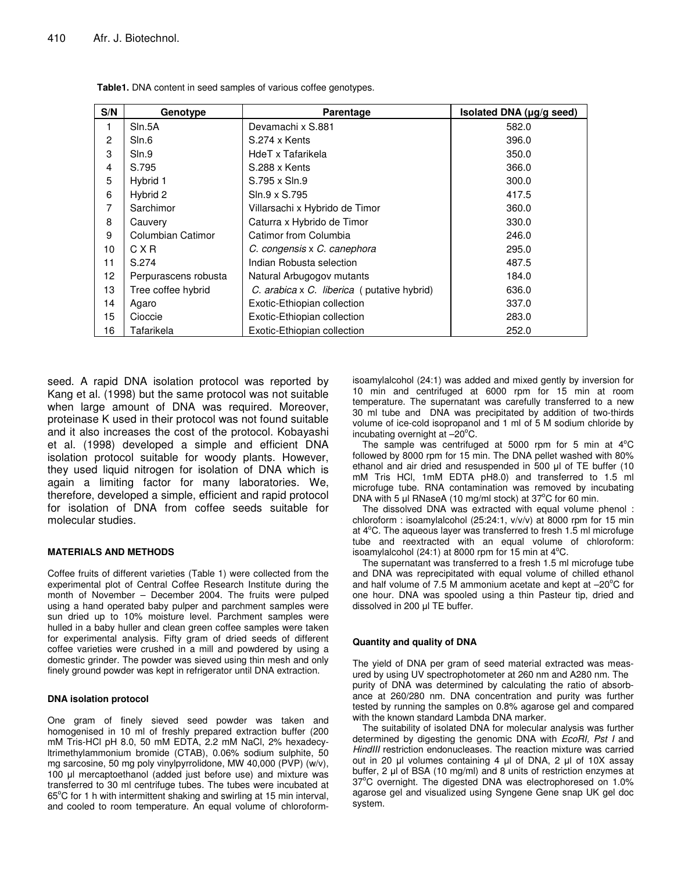| S/N            | Genotype             | Parentage                                  | Isolated DNA (µg/g seed) |
|----------------|----------------------|--------------------------------------------|--------------------------|
| $\mathbf{1}$   | Sln.5A               | Devamachi x S.881                          | 582.0                    |
| $\overline{c}$ | Sln.6                | S.274 x Kents                              | 396.0                    |
| 3              | SIn.9                | HdeT x Tafarikela                          | 350.0                    |
| $\overline{4}$ | S.795                | S.288 x Kents                              | 366.0                    |
| 5              | Hybrid 1             | S.795 x Sln.9                              | 300.0                    |
| 6              | Hybrid 2             | Sln.9 x S.795                              | 417.5                    |
| 7              | Sarchimor            | Villarsachi x Hybrido de Timor             | 360.0                    |
| 8              | Cauvery              | Caturra x Hybrido de Timor                 | 330.0                    |
| 9              | Columbian Catimor    | Catimor from Columbia                      | 246.0                    |
| 10             | CXR                  | C. congensis x C. canephora                | 295.0                    |
| 11             | S.274                | Indian Robusta selection                   | 487.5                    |
| 12             | Perpurascens robusta | Natural Arbugogov mutants                  | 184.0                    |
| 13             | Tree coffee hybrid   | C. arabica x C. liberica (putative hybrid) | 636.0                    |
| 14             | Agaro                | Exotic-Ethiopian collection                | 337.0                    |
| 15             | Cioccie              | Exotic-Ethiopian collection                | 283.0                    |
| 16             | Tafarikela           | Exotic-Ethiopian collection                | 252.0                    |

**Table1.** DNA content in seed samples of various coffee genotypes.

seed. A rapid DNA isolation protocol was reported by Kang et al. (1998) but the same protocol was not suitable when large amount of DNA was required. Moreover, proteinase K used in their protocol was not found suitable and it also increases the cost of the protocol. Kobayashi et al. (1998) developed a simple and efficient DNA isolation protocol suitable for woody plants. However, they used liquid nitrogen for isolation of DNA which is again a limiting factor for many laboratories. We, therefore, developed a simple, efficient and rapid protocol for isolation of DNA from coffee seeds suitable for molecular studies.

## **MATERIALS AND METHODS**

Coffee fruits of different varieties (Table 1) were collected from the experimental plot of Central Coffee Research Institute during the month of November – December 2004. The fruits were pulped using a hand operated baby pulper and parchment samples were sun dried up to 10% moisture level. Parchment samples were hulled in a baby huller and clean green coffee samples were taken for experimental analysis. Fifty gram of dried seeds of different coffee varieties were crushed in a mill and powdered by using a domestic grinder. The powder was sieved using thin mesh and only finely ground powder was kept in refrigerator until DNA extraction.

#### **DNA isolation protocol**

One gram of finely sieved seed powder was taken and homogenised in 10 ml of freshly prepared extraction buffer (200 mM Tris-HCl pH 8.0, 50 mM EDTA, 2.2 mM NaCl, 2% hexadecyltrimethylammonium bromide (CTAB), 0.06% sodium sulphite, 50 mg sarcosine, 50 mg poly vinylpyrrolidone, MW 40,000 (PVP) (w/v), 100 µl mercaptoethanol (added just before use) and mixture was transferred to 30 ml centrifuge tubes. The tubes were incubated at 65°C for 1 h with intermittent shaking and swirling at 15 min interval, and cooled to room temperature. An equal volume of chloroformisoamylalcohol (24:1) was added and mixed gently by inversion for 10 min and centrifuged at 6000 rpm for 15 min at room temperature. The supernatant was carefully transferred to a new 30 ml tube and DNA was precipitated by addition of two-thirds volume of ice-cold isopropanol and 1 ml of 5 M sodium chloride by incubating overnight at -20°C.

The sample was centrifuged at 5000 rpm for 5 min at  $4^{\circ}$ C followed by 8000 rpm for 15 min. The DNA pellet washed with 80% ethanol and air dried and resuspended in 500 µl of TE buffer (10 mM Tris HCl, 1mM EDTA pH8.0) and transferred to 1.5 ml microfuge tube. RNA contamination was removed by incubating DNA with 5  $\mu$ I RNaseA (10 mg/ml stock) at 37°C for 60 min.

The dissolved DNA was extracted with equal volume phenol : chloroform : isoamylalcohol (25:24:1, v/v/v) at 8000 rpm for 15 min at 4°C. The aqueous layer was transferred to fresh 1.5 ml microfuge tube and reextracted with an equal volume of chloroform: isoamylalcohol (24:1) at 8000 rpm for 15 min at  $4^{\circ}$ C.

The supernatant was transferred to a fresh 1.5 ml microfuge tube and DNA was reprecipitated with equal volume of chilled ethanol and half volume of 7.5 M ammonium acetate and kept at  $-20^{\circ}$ C for one hour. DNA was spooled using a thin Pasteur tip, dried and dissolved in 200 µl TE buffer.

## **Quantity and quality of DNA**

The yield of DNA per gram of seed material extracted was measured by using UV spectrophotometer at 260 nm and A280 nm. The purity of DNA was determined by calculating the ratio of absorbance at 260/280 nm. DNA concentration and purity was further tested by running the samples on 0.8% agarose gel and compared with the known standard Lambda DNA marker.

The suitability of isolated DNA for molecular analysis was further determined by digesting the genomic DNA with *EcoRI, Pst I* and *HindIII* restriction endonucleases. The reaction mixture was carried out in 20  $\mu$  volumes containing 4  $\mu$  of DNA, 2  $\mu$  of 10X assay buffer, 2  $\mu$  of BSA (10 mg/ml) and 8 units of restriction enzymes at 37°C overnight. The digested DNA was electrophoresed on 1.0% agarose gel and visualized using Syngene Gene snap UK gel doc system.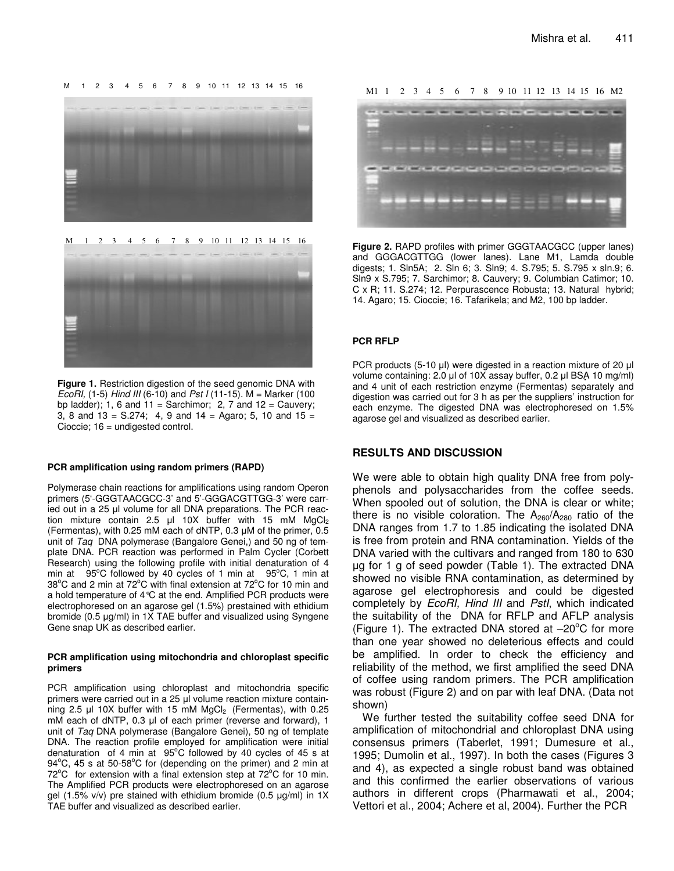M 1 2 3 4 5 6 7 8 9 10 11 12 13 14 15 16



M 1 2 3 4 5 6 7 8 9 10 11 12 13 14 15 16



**Figure 1.** Restriction digestion of the seed genomic DNA with *EcoRI,* (1-5) *Hind III* (6-10) and *Pst I* (11-15). M = Marker (100 bp ladder); 1, 6 and 11 = Sarchimor; 2, 7 and 12 = Cauvery; 3, 8 and 13 = S.274; 4, 9 and 14 = Agaro; 5, 10 and 15 = Cioccie; 16 = undigested control.

#### **PCR amplification using random primers (RAPD)**

Polymerase chain reactions for amplifications using random Operon primers (5'-GGGTAACGCC-3' and 5'-GGGACGTTGG-3' were carried out in a 25 ul volume for all DNA preparations. The PCR reaction mixture contain 2.5  $\mu$  10X buffer with 15 mM MgCl<sub>2</sub> (Fermentas), with 0.25 mM each of dNTP, 0.3  $\mu$ M of the primer, 0.5 unit of *Taq* DNA polymerase (Bangalore Genei,) and 50 ng of template DNA. PCR reaction was performed in Palm Cycler (Corbett Research) using the following profile with initial denaturation of 4 min at 95°C followed by 40 cycles of 1 min at 95°C, 1 min at 38°C and 2 min at 72°C with final extension at 72°C for 10 min and a hold temperature of 4°C at the end. Amplified PCR products were electrophoresed on an agarose gel (1.5%) prestained with ethidium bromide (0.5 µg/ml) in 1X TAE buffer and visualized using Syngene Gene snap UK as described earlier.

#### **PCR amplification using mitochondria and chloroplast specific primers**

PCR amplification using chloroplast and mitochondria specific primers were carried out in a 25 µl volume reaction mixture containning 2.5  $\mu$  10X buffer with 15 mM MgCl<sub>2</sub> (Fermentas), with 0.25 mM each of dNTP, 0.3 µl of each primer (reverse and forward), 1 unit of *Taq* DNA polymerase (Bangalore Genei), 50 ng of template DNA. The reaction profile employed for amplification were initial denaturation of 4 min at  $95^{\circ}$ C followed by 40 cycles of 45 s at 94°C, 45 s at 50-58°C for (depending on the primer) and 2 min at  $72^{\circ}$ C for extension with a final extension step at  $72^{\circ}$ C for 10 min. The Amplified PCR products were electrophoresed on an agarose gel (1.5% v/v) pre stained with ethidium bromide (0.5  $\mu$ g/ml) in 1X TAE buffer and visualized as described earlier.

M1 1 2 3 4 5 6 7 8 9 10 11 12 13 14 15 16 M2



**Figure 2.** RAPD profiles with primer GGGTAACGCC (upper lanes) and GGGACGTTGG (lower lanes). Lane M1, Lamda double digests; 1. Sln5A; 2. Sln 6; 3. Sln9; 4. S.795; 5. S.795 x sln.9; 6. Sln9 x S.795; 7. Sarchimor; 8. Cauvery; 9. Columbian Catimor; 10. C x R; 11. S.274; 12. Perpurascence Robusta; 13. Natural hybrid; 14. Agaro; 15. Cioccie; 16. Tafarikela; and M2, 100 bp ladder.

#### **PCR RFLP**

PCR products (5-10 µl) were digested in a reaction mixture of 20 µl volume containing: 2.0 µl of 10X assay buffer, 0.2 µl BSA 10 mg/ml) and 4 unit of each restriction enzyme (Fermentas) separately and digestion was carried out for 3 h as per the suppliers' instruction for each enzyme. The digested DNA was electrophoresed on 1.5% agarose gel and visualized as described earlier.

## **RESULTS AND DISCUSSION**

We were able to obtain high quality DNA free from polyphenols and polysaccharides from the coffee seeds. When spooled out of solution, the DNA is clear or white; there is no visible coloration. The  $A_{260}/A_{280}$  ratio of the DNA ranges from 1.7 to 1.85 indicating the isolated DNA is free from protein and RNA contamination. Yields of the DNA varied with the cultivars and ranged from 180 to 630 g for 1 g of seed powder (Table 1). The extracted DNA showed no visible RNA contamination, as determined by agarose gel electrophoresis and could be digested completely by *EcoRI, Hind III* and *PstI*, which indicated the suitability of the DNA for RFLP and AFLP analysis (Figure 1). The extracted DNA stored at -20°C for more than one year showed no deleterious effects and could be amplified. In order to check the efficiency and reliability of the method, we first amplified the seed DNA of coffee using random primers. The PCR amplification was robust (Figure 2) and on par with leaf DNA. (Data not shown)

We further tested the suitability coffee seed DNA for amplification of mitochondrial and chloroplast DNA using consensus primers (Taberlet, 1991; Dumesure et al., 1995; Dumolin et al., 1997). In both the cases (Figures 3 and 4), as expected a single robust band was obtained and this confirmed the earlier observations of various authors in different crops (Pharmawati et al., 2004; Vettori et al., 2004; Achere et al, 2004). Further the PCR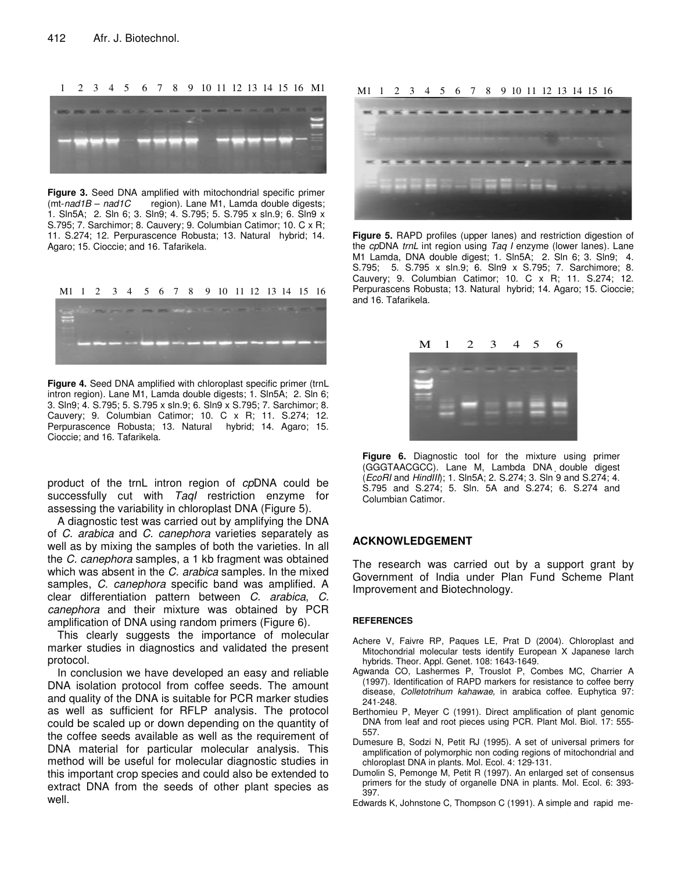## 1 2 3 4 5 6 7 8 9 10 11 12 13 14 15 16 M1



**Figure 3.** Seed DNA amplified with mitochondrial specific primer (mt-nad1B – nad1C region). Lane M1, Lamda double digests; region). Lane M1, Lamda double digests; 1. Sln5A; 2. Sln 6; 3. Sln9; 4. S.795; 5. S.795 x sln.9; 6. Sln9 x S.795; 7. Sarchimor; 8. Cauvery; 9. Columbian Catimor; 10. C x R; 11. S.274; 12. Perpurascence Robusta; 13. Natural hybrid; 14. Agaro; 15. Cioccie; and 16. Tafarikela.



**Figure 4.** Seed DNA amplified with chloroplast specific primer (trnL intron region). Lane M1, Lamda double digests; 1. Sln5A; 2. Sln 6; 3. Sln9; 4. S.795; 5. S.795 x sln.9; 6. Sln9 x S.795; 7. Sarchimor; 8. Cauvery; 9. Columbian Catimor; 10. C x R; 11. S.274; 12. Perpurascence Robusta; 13. Natural hybrid; 14. Agaro; 15. Cioccie; and 16. Tafarikela.

product of the trnL intron region of *cp*DNA could be successfully cut with *TaqI* restriction enzyme for assessing the variability in chloroplast DNA (Figure 5).

A diagnostic test was carried out by amplifying the DNA of *C. arabica* and *C. canephora* varieties separately as well as by mixing the samples of both the varieties. In all the *C. canephora* samples, a 1 kb fragment was obtained which was absent in the *C. arabica* samples. In the mixed samples, *C. canephora* specific band was amplified. A clear differentiation pattern between *C. arabica*, *C. canephora* and their mixture was obtained by PCR amplification of DNA using random primers (Figure 6).

This clearly suggests the importance of molecular marker studies in diagnostics and validated the present protocol.

In conclusion we have developed an easy and reliable DNA isolation protocol from coffee seeds. The amount and quality of the DNA is suitable for PCR marker studies as well as sufficient for RFLP analysis. The protocol could be scaled up or down depending on the quantity of the coffee seeds available as well as the requirement of DNA material for particular molecular analysis. This method will be useful for molecular diagnostic studies in this important crop species and could also be extended to extract DNA from the seeds of other plant species as well.

#### M1 1 2 3 4 5 6 7 8 9 10 11 12 13 14 15 16



**Figure 5.** RAPD profiles (upper lanes) and restriction digestion of the *cp*DNA *trnL* int region using *Taq I* enzyme (lower lanes). Lane M1 Lamda, DNA double digest; 1. Sln5A; 2. Sln 6; 3. Sln9; 4. S.795; 5. S.795 x sln.9; 6. Sln9 x S.795; 7. Sarchimore; 8. Cauvery; 9. Columbian Catimor; 10. C x R; 11. S.274; 12. Perpurascens Robusta; 13. Natural hybrid; 14. Agaro; 15. Cioccie; and 16. Tafarikela.



**Figure 6.** Diagnostic tool for the mixture using primer (GGGTAACGCC). Lane M, Lambda DNA double digest (*EcoRI* and *HindIII*); 1. Sln5A; 2. S.274; 3. Sln 9 and S.274; 4. S.795 and S.274; 5. Sln. 5A and S.274; 6. S.274 and Columbian Catimor.

## **ACKNOWLEDGEMENT**

The research was carried out by a support grant by Government of India under Plan Fund Scheme Plant Improvement and Biotechnology.

#### **REFERENCES**

- Achere V, Faivre RP, Paques LE, Prat D (2004). Chloroplast and Mitochondrial molecular tests identify European X Japanese larch hybrids. Theor. Appl. Genet. 108: 1643-1649.
- Agwanda CO, Lashermes P, Trouslot P, Combes MC, Charrier A (1997). Identification of RAPD markers for resistance to coffee berry disease, *Colletotrihum kahawae,* in arabica coffee. Euphytica 97: 241-248.
- Berthomieu P, Meyer C (1991). Direct amplification of plant genomic DNA from leaf and root pieces using PCR. Plant Mol. Biol. 17: 555- 557.
- Dumesure B, Sodzi N, Petit RJ (1995). A set of universal primers for amplification of polymorphic non coding regions of mitochondrial and chloroplast DNA in plants. Mol. Ecol. 4: 129-131.
- Dumolin S, Pemonge M, Petit R (1997). An enlarged set of consensus primers for the study of organelle DNA in plants. Mol. Ecol. 6: 393- 397.
- Edwards K, Johnstone C, Thompson C (1991). A simple and rapid me-